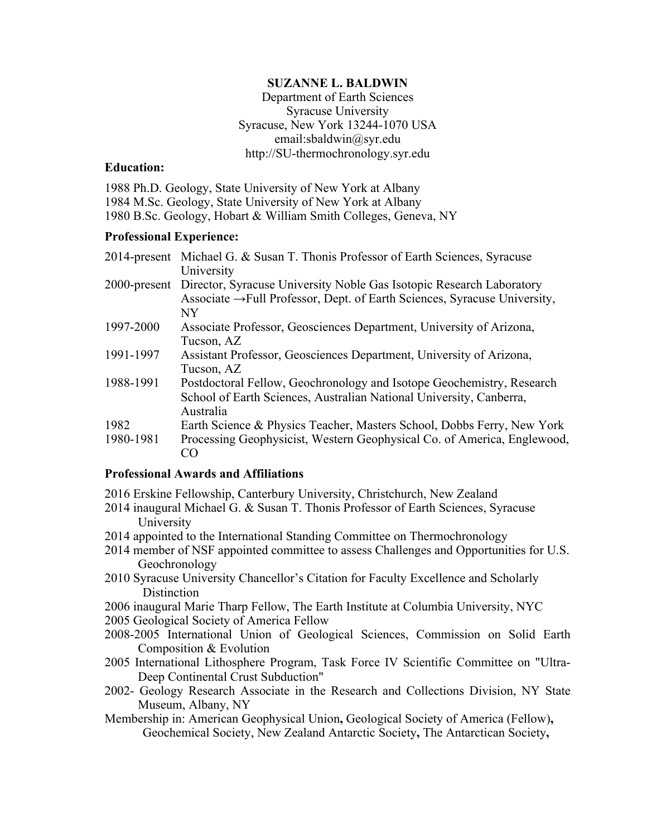#### **SUZANNE L. BALDWIN**

Department of Earth Sciences Syracuse University Syracuse, New York 13244-1070 USA [email:sbaldwin@syr.edu](mailto:email:sbaldwin@syr.edu) <http://SU-thermochronology.syr.edu>

#### **Education:**

 1984 M.Sc. Geology, State University of New York at Albany 1980 B.Sc. Geology, Hobart & William Smith Colleges, Geneva, NY 1988 Ph.D. Geology, State University of New York at Albany

#### **Professional Experience:**

|           | 2014-present Michael G. & Susan T. Thonis Professor of Earth Sciences, Syracuse                                                                                            |
|-----------|----------------------------------------------------------------------------------------------------------------------------------------------------------------------------|
|           | University                                                                                                                                                                 |
|           | 2000-present Director, Syracuse University Noble Gas Isotopic Research Laboratory<br>Associate $\rightarrow$ Full Professor, Dept. of Earth Sciences, Syracuse University, |
|           | NY                                                                                                                                                                         |
| 1997-2000 | Associate Professor, Geosciences Department, University of Arizona,                                                                                                        |
|           | Tucson, AZ                                                                                                                                                                 |
| 1991-1997 | Assistant Professor, Geosciences Department, University of Arizona,                                                                                                        |
|           | Tucson, AZ                                                                                                                                                                 |
| 1988-1991 | Postdoctoral Fellow, Geochronology and Isotope Geochemistry, Research                                                                                                      |
|           | School of Earth Sciences, Australian National University, Canberra,<br>Australia                                                                                           |
|           |                                                                                                                                                                            |
| 1982      | Earth Science & Physics Teacher, Masters School, Dobbs Ferry, New York                                                                                                     |
| 1980-1981 | Processing Geophysicist, Western Geophysical Co. of America, Englewood,                                                                                                    |
|           | CO                                                                                                                                                                         |

#### **Professional Awards and Affiliations**

- 2016 Erskine Fellowship, Canterbury University, Christchurch, New Zealand
- 2014 inaugural Michael G. & Susan T. Thonis Professor of Earth Sciences, Syracuse University
- 2014 appointed to the International Standing Committee on Thermochronology
- 2014 member of NSF appointed committee to assess Challenges and Opportunities for U.S. Geochronology
- 2010 Syracuse University Chancellor's Citation for Faculty Excellence and Scholarly Distinction
- 2006 inaugural Marie Tharp Fellow, The Earth Institute at Columbia University, NYC
- 2005 Geological Society of America Fellow
- Composition & Evolution Composition & Evolution 2005 International Lithosphere Program, Task Force IV Scientific Committee on "Ultra-2008-2005 International Union of Geological Sciences, Commission on Solid Earth
- Deep Continental Crust Subduction"
- 2002- Geology Research Associate in the Research and Collections Division, NY State Museum, Albany, NY
- Membership in: American Geophysical Union, Geological Society of America (Fellow), Geochemical Society, New Zealand Antarctic Society**,** The Antarctican Society**,**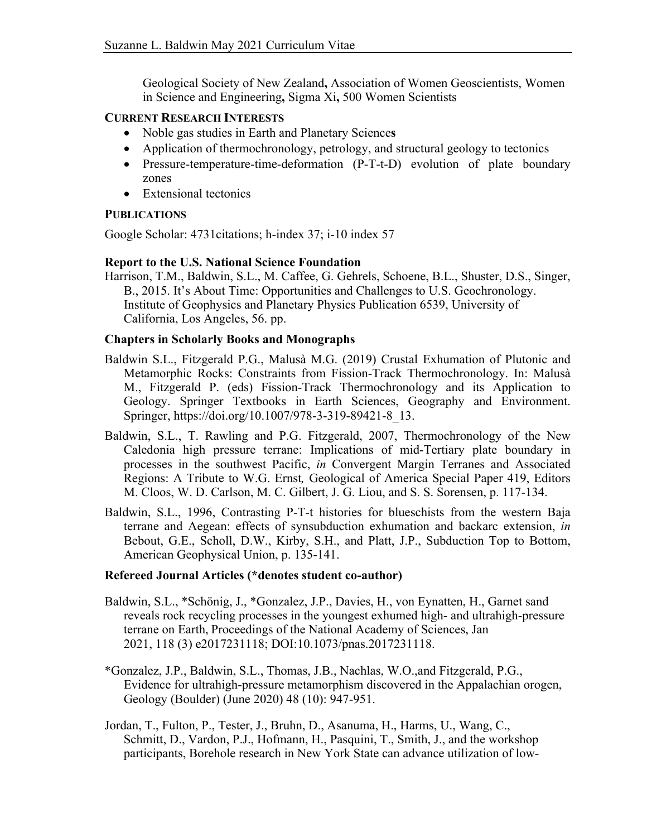Geological Society of New Zealand**,** Association of Women Geoscientists, Women in Science and Engineering**,** Sigma Xi**,** 500 Women Scientists

# **CURRENT RESEARCH INTERESTS**

- Noble gas studies in Earth and Planetary Science**s**
- Application of thermochronology, petrology, and structural geology to tectonics
- Pressure-temperature-time-deformation (P-T-t-D) evolution of plate boundary zones
- Extensional tectonics

# **PUBLICATIONS**

Google Scholar: 4731citations; h-index 37; i-10 index 57

# **Report to the U.S. National Science Foundation**

Harrison, T.M., Baldwin, S.L., M. Caffee, G. Gehrels, Schoene, B.L., Shuster, D.S., Singer, B., 2015. It's About Time: Opportunities and Challenges to U.S. Geochronology. Institute of Geophysics and Planetary Physics Publication 6539, University of California, Los Angeles, 56. pp.

### **Chapters in Scholarly Books and Monographs**

- Metamorphic Rocks: Constraints from Fission-Track Thermochronology. In: Malusà Geology. Springer Textbooks in Earth Sciences, Geography and Environment. Baldwin S.L., Fitzgerald P.G., Malusà M.G. (2019) Crustal Exhumation of Plutonic and M., Fitzgerald P. (eds) Fission-Track Thermochronology and its Application to Springer, [https://doi.org/10.1007/978-3-319-89421-8\\_13.](https://doi.org/10.1007/978-3-319-89421-8_13)
- Baldwin, S.L., T. Rawling and P.G. Fitzgerald, 2007, Thermochronology of the New Caledonia high pressure terrane: Implications of mid-Tertiary plate boundary in processes in the southwest Pacific, *in* Convergent Margin Terranes and Associated Regions: A Tribute to W.G. Ernst*,* Geological of America Special Paper 419, Editors M. Cloos, W. D. Carlson, M. C. Gilbert, J. G. Liou, and S. S. Sorensen, p. 117-134.
- Baldwin, S.L., 1996, Contrasting P-T-t histories for blueschists from the western Baja terrane and Aegean: effects of synsubduction exhumation and backarc extension, *in*  Bebout, G.E., Scholl, D.W., Kirby, S.H., and Platt, J.P., Subduction Top to Bottom, American Geophysical Union, p. 135-141.

### **Refereed Journal Articles (\*denotes student co-author)**

- Baldwin, S.L., \*Schönig, J., \*Gonzalez, J.P., Davies, H., von Eynatten, H., Garnet sand terrane on Earth, Proceedings of the National Academy of Sciences, Jan 2021, 118 (3) e2017231118; DOI:10.1073/pnas.2017231118. reveals rock recycling processes in the youngest exhumed high- and ultrahigh-pressure
- \*Gonzalez, J.P., Baldwin, S.L., Thomas, J.B., Nachlas, W.O.,and Fitzgerald, P.G., Evidence for ultrahigh-pressure metamorphism discovered in the Appalachian orogen, Geology (Boulder) (June 2020) 48 (10): 947-951.
- Jordan, T., Fulton, P., Tester, J., Bruhn, D., Asanuma, H., Harms, U., Wang, C., Schmitt, D., Vardon, P.J., Hofmann, H., Pasquini, T., Smith, J., and the workshop participants, Borehole research in New York State can advance utilization of low-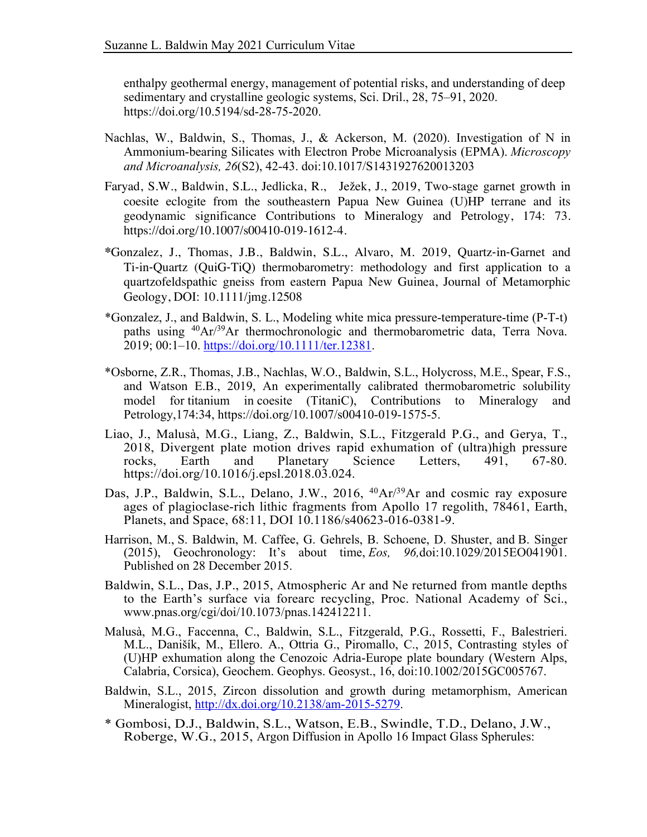enthalpy geothermal energy, management of potential risks, and understanding of deep sedimentary and crystalline geologic systems, Sci. Dril., 28, 75–91, 2020. <https://doi.org/10.5194/sd-28-75-2020>.

- Ammonium-bearing Silicates with Electron Probe Microanalysis (EPMA). *Microscopy*  Nachlas, W., Baldwin, S., Thomas, J., & Ackerson, M. (2020). Investigation of N in *and Microanalysis, 26*(S2), 42-43. doi:10.1017/S1431927620013203
- Faryad, S.W., Baldwin, S.L., Jedlicka, R., Ježek, J., 2019, Two-stage garnet growth in coesite eclogite from the southeastern Papua New Guinea (U)HP terrane and its geodynamic significance Contributions to Mineralogy and Petrology, 174: 73. <https://doi.org/10.1007/s00410-019-1612-4>.
- quartzofeldspathic gneiss from eastern Papua New Guinea, Journal of Metamorphic **\***Gonzalez, J., Thomas, J.B., Baldwin, S.L., Alvaro, M. 2019, Quartz-in-Garnet and Ti-in-Quartz (QuiG-TiQ) thermobarometry: methodology and first application to a Geology, DOI: 10.1111/jmg.12508
- \*Gonzalez, J., and Baldwin, S. L., Modeling white mica pressure-temperature-time (P-T-t) paths using <sup>40</sup>Ar/<sup>39</sup>Ar thermochronologic and thermobarometric data, Terra Nova. 2019; 00:1–10. [https://doi.org/10.1111/ter.12381.](https://doi.org/10.1111/ter.12381)
- model for titanium in coesite (TitaniC), Contributions to Mineralogy and \*Osborne, Z.R., Thomas, J.B., Nachlas, W.O., Baldwin, S.L., Holycross, M.E., Spear, F.S., and Watson E.B., 2019, An experimentally calibrated thermobarometric solubility Petrology,174:34,<https://doi.org/10.1007/s00410-019-1575-5>.
- Liao, J., Malusà, M.G., Liang, Z., Baldwin, S.L., Fitzgerald P.G., and Gerya, T., 2018, Divergent plate motion drives rapid exhumation of (ultra)high pressure Science rocks, Earth and Planetary Science Letters, 491, 67-80. <https://doi.org/10.1016/j.epsl.2018.03.024>.
- Das, J.P., Baldwin, S.L., Delano, J.W., 2016, <sup>40</sup>Ar/<sup>39</sup>Ar and cosmic ray exposure ages of plagioclase-rich lithic fragments from Apollo 17 regolith, 78461, Earth, Planets, and Space, 68:11, DOI 10.1186/s40623-016-0381-9.
- (2015), Geochronology: It's about time, *Eos, 96,*doi:10.1029/2015EO041901. Harrison, M., S. Baldwin, M. Caffee, G. Gehrels, B. Schoene, D. Shuster, and B. Singer Published on 28 December 2015.
- Baldwin, S.L., Das, J.P., 2015, Atmospheric Ar and Ne returned from mantle depths to the Earth's surface via forearc recycling, Proc. National Academy of Sci., <www.pnas.org/cgi/doi/10.1073/pnas.142412211>.
- (U)HP exhumation along the Cenozoic Adria-Europe plate boundary (Western Alps, Malusà, M.G., Faccenna, C., Baldwin, S.L., Fitzgerald, P.G., Rossetti, F., Balestrieri. M.L., Danišík, M., Ellero. A., Ottria G., Piromallo, C., 2015, Contrasting styles of Calabria, Corsica), Geochem. Geophys. Geosyst., 16, doi:10.1002/2015GC005767.
- Baldwin, S.L., 2015, Zircon dissolution and growth during metamorphism, American Mineralogist, [http://dx.doi.org/10.2138/am-2015-5279.](http://dx.doi.org/10.2138/am-2015-5279)
- \* Gombosi, D.J., Baldwin, S.L., Watson, E.B., Swindle, T.D., Delano, J.W., Roberge, W.G., 2015, Argon Diffusion in Apollo 16 Impact Glass Spherules: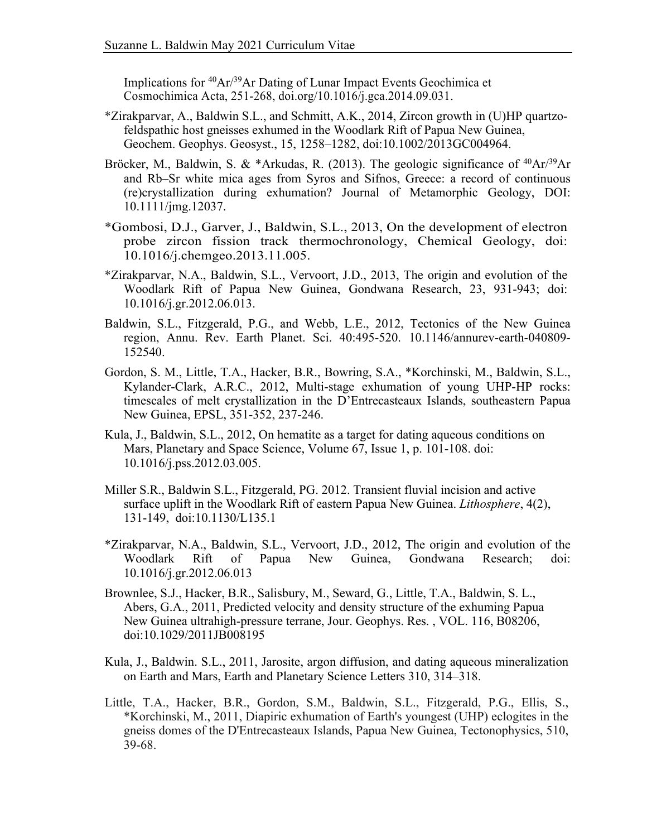Implications for <sup>40</sup>Ar/<sup>39</sup>Ar Dating of Lunar Impact Events Geochimica et Cosmochimica Acta, 251-268, [doi.org/10.1016/j.gca.2014.09.031](https://doi.org/10.1016/j.gca.2014.09.031).

- \*Zirakparvar, A., Baldwin S.L., and Schmitt, A.K., 2014, Zircon growth in (U)HP quartzofeldspathic host gneisses exhumed in the Woodlark Rift of Papua New Guinea, Geochem. Geophys. Geosyst., 15, 1258–1282, doi:10.1002/2013GC004964.
- Bröcker, M., Baldwin, S. & \*Arkudas, R. (2013). The geologic significance of  $^{40}Ar/^{39}Ar$ and Rb–Sr white mica ages from Syros and Sifnos, Greece: a record of continuous (re)crystallization during exhumation? Journal of Metamorphic Geology, DOI: 10.1111/jmg.12037.
- \*Gombosi, D.J., Garver, J., Baldwin, S.L., 2013, On the development of electron probe zircon fission track thermochronology, Chemical Geology, doi: 10.1016/j.chemgeo.2013.11.005.
- \*Zirakparvar, N.A., Baldwin, S.L., Vervoort, J.D., 2013, The origin and evolution of the Woodlark Rift of Papua New Guinea, Gondwana Research, 23, 931-943; doi: 10.1016/j.gr.2012.06.013.
- Baldwin, S.L., Fitzgerald, P.G., and Webb, L.E., 2012, Tectonics of the New Guinea region, Annu. Rev. Earth Planet. Sci. 40:495-520. 10.1146/annurev-earth-040809- 152540.
- Kylander-Clark, A.R.C., 2012, Multi-stage exhumation of young UHP-HP rocks: timescales of melt crystallization in the D'Entrecasteaux Islands, southeastern Papua Gordon, S. M., Little, T.A., Hacker, B.R., Bowring, S.A., \*Korchinski, M., Baldwin, S.L., New Guinea, EPSL, 351-352, 237-246.
- $10.1016$ /j.pss.2012.03.005. Kula, J., Baldwin, S.L., 2012, On hematite as a target for dating aqueous conditions on Mars, Planetary and Space Science, Volume 67, Issue 1, p. 101-108. doi:
- Miller S.R., Baldwin S.L., Fitzgerald, PG. 2012. Transient fluvial incision and active surface uplift in the Woodlark Rift of eastern Papua New Guinea. *Lithosphere*, 4(2), 131-149, doi:10.1130/L135.1
- Papua \*Zirakparvar, N.A., Baldwin, S.L., Vervoort, J.D., 2012, The origin and evolution of the Woodlark Rift of Papua New Guinea, Gondwana Research; doi: 10.1016/j.gr.2012.06.013
- Brownlee, S.J., Hacker, B.R., Salisbury, M., Seward, G., Little, T.A., Baldwin, S. L., Abers, G.A., 2011, Predicted velocity and density structure of the exhuming Papua New Guinea ultrahigh-pressure terrane, Jour. Geophys. Res. , VOL. 116, B08206, doi:10.1029/2011JB008195
- Kula, J., Baldwin. S.L., 2011, Jarosite, argon diffusion, and dating aqueous mineralization on Earth and Mars, Earth and Planetary Science Letters 310, 314–318.
- \*Korchinski, M., 2011, Diapiric exhumation of Earth's youngest (UHP) eclogites in the gneiss domes of the D'Entrecasteaux Islands, Papua New Guinea, Tectonophysics, 510, Little, T.A., Hacker, B.R., Gordon, S.M., Baldwin, S.L., Fitzgerald, P.G., Ellis, S., 39-68.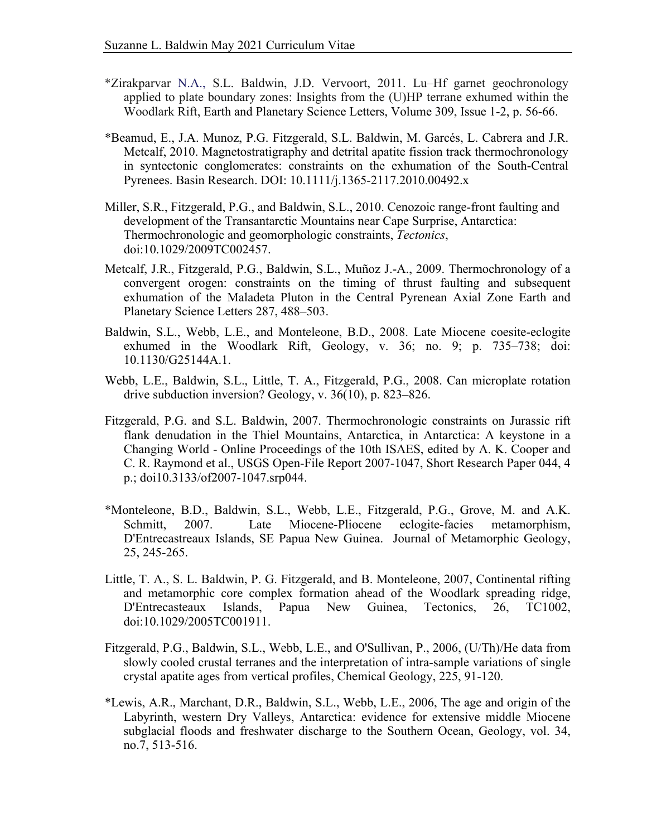- applied to plate boundary zones: Insights from the (U)HP terrane exhumed within the \*Zirakparvar N.A., S.L. Baldwin, J.D. Vervoort, 2011. Lu–Hf garnet geochronology Woodlark Rift, Earth and Planetary Science Letters, Volume 309, Issue 1-2, p. 56-66.
- Metcalf, 2010. Magnetostratigraphy and detrital apatite fission track thermochronology in syntectonic conglomerates: constraints on the exhumation of the South-Central \*Beamud, E., J.A. Munoz, P.G. Fitzgerald, S.L. Baldwin, M. Garcés, L. Cabrera and J.R. Pyrenees. Basin Research. DOI: 10.1111/j.1365-2117.2010.00492.x
- Miller, S.R., Fitzgerald, P.G., and Baldwin, S.L., 2010. Cenozoic range-front faulting and development of the Transantarctic Mountains near Cape Surprise, Antarctica: Thermochronologic and geomorphologic constraints, *Tectonics*, doi:10.1029/2009TC002457.
- Metcalf, J.R., Fitzgerald, P.G., Baldwin, S.L., Muñoz J.-A., 2009. Thermochronology of a convergent orogen: constraints on the timing of thrust faulting and subsequent exhumation of the Maladeta Pluton in the Central Pyrenean Axial Zone Earth and Planetary Science Letters 287, 488–503.
- Baldwin, S.L., Webb, L.E., and Monteleone, B.D., 2008. Late Miocene coesite-eclogite exhumed in the Woodlark Rift, Geology, v. 36; no. 9; p. 735–738; doi: 10.1130/G25144A.1.
- Webb, L.E., Baldwin, S.L., Little, T. A., Fitzgerald, P.G., 2008. Can microplate rotation drive subduction inversion? Geology, v. 36(10), p. 823–826.
- Fitzgerald, P.G. and S.L. Baldwin, 2007. Thermochronologic constraints on Jurassic rift flank denudation in the Thiel Mountains, Antarctica, in Antarctica: A keystone in a Changing World - Online Proceedings of the 10th ISAES, edited by A. K. Cooper and C. R. Raymond et al., USGS Open-File Report 2007-1047, Short Research Paper 044, 4 p.; doi10.3133/of2007-1047.srp044.
- D'Entrecastreaux Islands, SE Papua New Guinea. Journal of Metamorphic Geology, \*Monteleone, B.D., Baldwin, S.L., Webb, L.E., Fitzgerald, P.G., Grove, M. and A.K. Schmitt, 2007. Late Miocene-Pliocene eclogite-facies metamorphism, 25, 245-265.
- and metamorphic core complex formation ahead of the Woodlark spreading ridge, Papua Little, T. A., S. L. Baldwin, P. G. Fitzgerald, and B. Monteleone, 2007, Continental rifting D'Entrecasteaux Islands, Papua New Guinea, Tectonics, 26, TC1002, doi:10.1029/2005TC001911.
- Fitzgerald, P.G., Baldwin, S.L., Webb, L.E., and O'Sullivan, P., 2006, (U/Th)/He data from slowly cooled crustal terranes and the interpretation of intra-sample variations of single crystal apatite ages from vertical profiles, Chemical Geology, 225, 91-120.
- \*Lewis, A.R., Marchant, D.R., Baldwin, S.L., Webb, L.E., 2006, The age and origin of the Labyrinth, western Dry Valleys, Antarctica: evidence for extensive middle Miocene subglacial floods and freshwater discharge to the Southern Ocean, Geology, vol. 34, no.7, 513-516.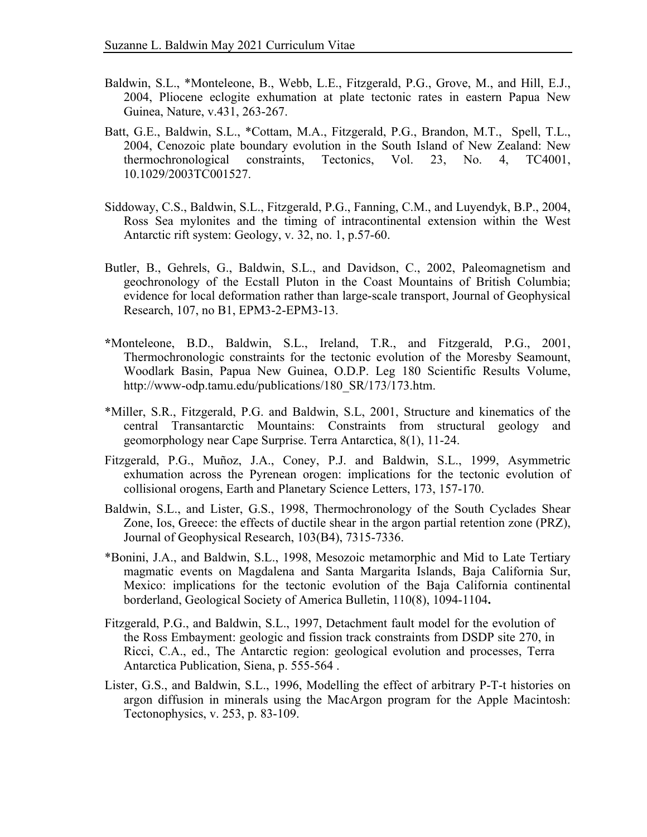- 2004, Pliocene eclogite exhumation at plate tectonic rates in eastern Papua New Baldwin, S.L., \*Monteleone, B., Webb, L.E., Fitzgerald, P.G., Grove, M., and Hill, E.J., Guinea, Nature, v.431, 263-267.
- 2004, Cenozoic plate boundary evolution in the South Island of New Zealand: New Batt, G.E., Baldwin, S.L., \*Cottam, M.A., Fitzgerald, P.G., Brandon, M.T., Spell, T.L., thermochronological constraints, Tectonics, Vol. 23, No. 4, TC4001, 10.1029/2003TC001527.
- Ross Sea mylonites and the timing of intracontinental extension within the West Siddoway, C.S., Baldwin, S.L., Fitzgerald, P.G., Fanning, C.M., and Luyendyk, B.P., 2004, Antarctic rift system: Geology, v. 32, no. 1, p.57-60.
- geochronology of the Ecstall Pluton in the Coast Mountains of British Columbia; evidence for local deformation rather than large-scale transport, Journal of Geophysical Butler, B., Gehrels, G., Baldwin, S.L., and Davidson, C., 2002, Paleomagnetism and Research, 107, no B1, EPM3-2-EPM3-13.
- Thermochronologic constraints for the tectonic evolution of the Moresby Seamount, Woodlark Basin, Papua New Guinea, O.D.P. Leg 180 Scientific Results Volume, **\***Monteleone, B.D., Baldwin, S.L., Ireland, T.R., and Fitzgerald, P.G., 2001, [http://www-odp.tamu.edu/publications/180\\_SR/173/173.htm](http://www-odp.tamu.edu/publications/180_SR/173/173.htm).
- \*Miller, S.R., Fitzgerald, P.G. and Baldwin, S.L, 2001, Structure and kinematics of the central Transantarctic Mountains: Constraints from structural geology and geomorphology near Cape Surprise. Terra Antarctica, 8(1), 11-24.
- exhumation across the Pyrenean orogen: implications for the tectonic evolution of Fitzgerald, P.G., Muñoz, J.A., Coney, P.J. and Baldwin, S.L., 1999, Asymmetric collisional orogens, Earth and Planetary Science Letters, 173, 157-170.
- Zone, Ios, Greece: the effects of ductile shear in the argon partial retention zone (PRZ), Baldwin, S.L., and Lister, G.S., 1998, Thermochronology of the South Cyclades Shear Journal of Geophysical Research, 103(B4), 7315-7336.
- magmatic events on Magdalena and Santa Margarita Islands, Baja California Sur, Mexico: implications for the tectonic evolution of the Baja California continental \*Bonini, J.A., and Baldwin, S.L., 1998, Mesozoic metamorphic and Mid to Late Tertiary borderland, Geological Society of America Bulletin, 110(8), 1094-1104**.**
- Fitzgerald, P.G., and Baldwin, S.L., 1997, Detachment fault model for the evolution of the Ross Embayment: geologic and fission track constraints from DSDP site 270, in Ricci, C.A., ed., The Antarctic region: geological evolution and processes, Terra Antarctica Publication, Siena, p. 555-564 .
- Lister, G.S., and Baldwin, S.L., 1996, Modelling the effect of arbitrary P-T-t histories on argon diffusion in minerals using the MacArgon program for the Apple Macintosh: Tectonophysics, v. 253, p. 83-109.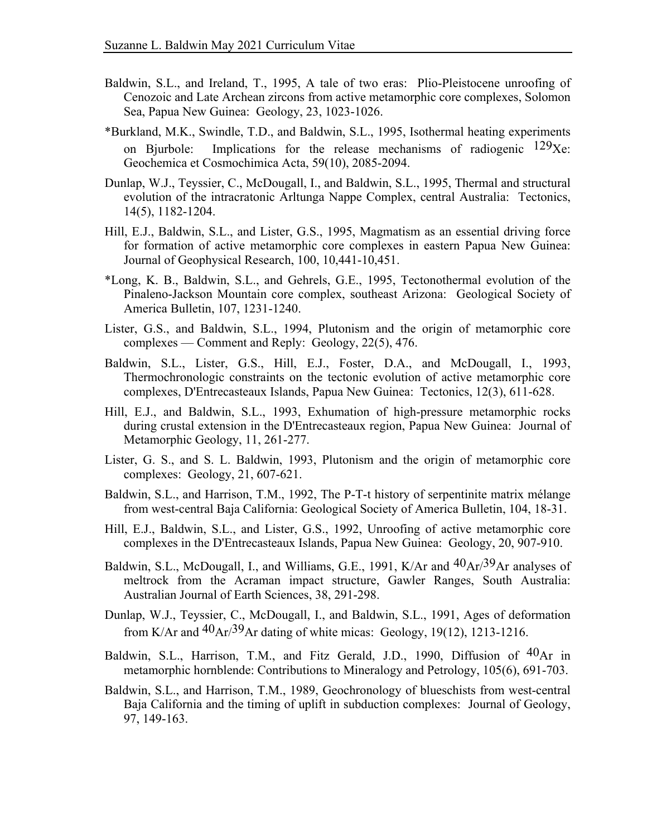- Baldwin, S.L., and Ireland, T., 1995, A tale of two eras: Plio-Pleistocene unroofing of Cenozoic and Late Archean zircons from active metamorphic core complexes, Solomon Sea, Papua New Guinea: Geology, 23, 1023-1026.
- on Bjurbole: \*Burkland, M.K., Swindle, T.D., and Baldwin, S.L., 1995, Isothermal heating experiments Implications for the release mechanisms of radiogenic  $129Xe$ . Geochemica et Cosmochimica Acta, 59(10), 2085-2094.
- evolution of the intracratonic Arltunga Nappe Complex, central Australia: Tectonics, Dunlap, W.J., Teyssier, C., McDougall, I., and Baldwin, S.L., 1995, Thermal and structural 14(5), 1182-1204.
- Hill, E.J., Baldwin, S.L., and Lister, G.S., 1995, Magmatism as an essential driving force for formation of active metamorphic core complexes in eastern Papua New Guinea: Journal of Geophysical Research, 100, 10,441-10,451.
- Pinaleno-Jackson Mountain core complex, southeast Arizona: Geological Society of \*Long, K. B., Baldwin, S.L., and Gehrels, G.E., 1995, Tectonothermal evolution of the America Bulletin, 107, 1231-1240.
- Lister, G.S., and Baldwin, S.L., 1994, Plutonism and the origin of metamorphic core complexes — Comment and Reply: Geology, 22(5), 476.
- Thermochronologic constraints on the tectonic evolution of active metamorphic core Baldwin, S.L., Lister, G.S., Hill, E.J., Foster, D.A., and McDougall, I., 1993, complexes, D'Entrecasteaux Islands, Papua New Guinea: Tectonics, 12(3), 611-628.
- Hill, E.J., and Baldwin, S.L., 1993, Exhumation of high-pressure metamorphic rocks during crustal extension in the D'Entrecasteaux region, Papua New Guinea: Journal of Metamorphic Geology, 11, 261-277.
- Lister, G. S., and S. L. Baldwin, 1993, Plutonism and the origin of metamorphic core complexes: Geology, 21, 607-621.
- Baldwin, S.L., and Harrison, T.M., 1992, The P-T-t history of serpentinite matrix mélange from west-central Baja California: Geological Society of America Bulletin, 104, 18-31.
- Hill, E.J., Baldwin, S.L., and Lister, G.S., 1992, Unroofing of active metamorphic core complexes in the D'Entrecasteaux Islands, Papua New Guinea: Geology, 20, 907-910.
- meltrock from the Acraman impact structure, Gawler Ranges, South Australia: Baldwin, S.L., McDougall, I., and Williams, G.E., 1991, K/Ar and 40Ar/39Ar analyses of Australian Journal of Earth Sciences, 38, 291-298.
- Dunlap, W.J., Teyssier, C., McDougall, I., and Baldwin, S.L., 1991, Ages of deformation from K/Ar and  $^{40}Ar^{39}Ar$  dating of white micas: Geology, 19(12), 1213-1216.
- Baldwin, S.L., Harrison, T.M., and Fitz Gerald, J.D., 1990, Diffusion of 40Ar in metamorphic hornblende: Contributions to Mineralogy and Petrology, 105(6), 691-703.
- Baldwin, S.L., and Harrison, T.M., 1989, Geochronology of blueschists from west-central Baja California and the timing of uplift in subduction complexes: Journal of Geology, 97, 149-163.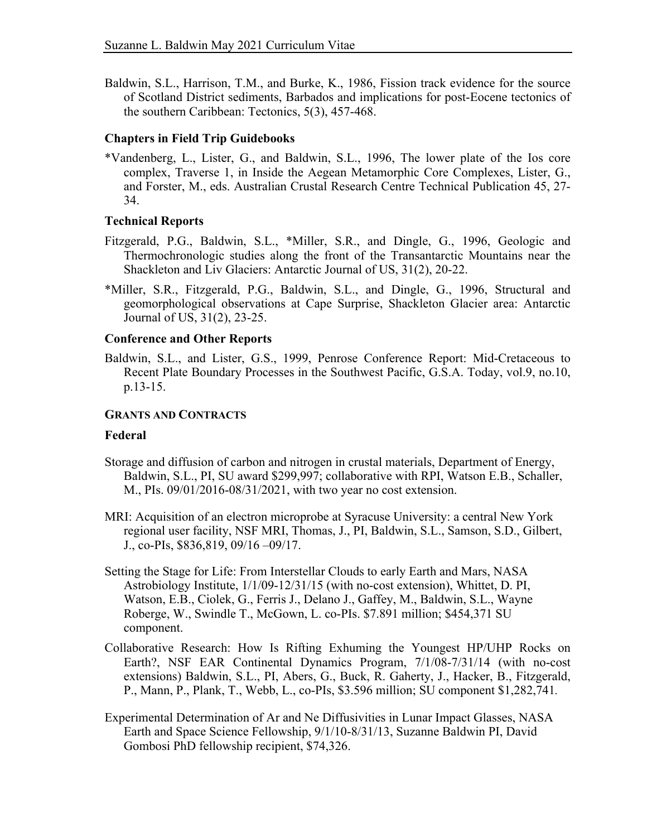Baldwin, S.L., Harrison, T.M., and Burke, K., 1986, Fission track evidence for the source of Scotland District sediments, Barbados and implications for post-Eocene tectonics of the southern Caribbean: Tectonics, 5(3), 457-468.

## **Chapters in Field Trip Guidebooks**

 \*Vandenberg, L., Lister, G., and Baldwin, S.L., 1996, The lower plate of the Ios core complex, Traverse 1, in Inside the Aegean Metamorphic Core Complexes, Lister, G., and Forster, M., eds. Australian Crustal Research Centre Technical Publication 45, 27- 34.

# **Technical Reports**

- Thermochronologic studies along the front of the Transantarctic Mountains near the Fitzgerald, P.G., Baldwin, S.L., \*Miller, S.R., and Dingle, G., 1996, Geologic and Shackleton and Liv Glaciers: Antarctic Journal of US, 31(2), 20-22.
- geomorphological observations at Cape Surprise, Shackleton Glacier area: Antarctic \*Miller, S.R., Fitzgerald, P.G., Baldwin, S.L., and Dingle, G., 1996, Structural and Journal of US, 31(2), 23-25.

### **Conference and Other Reports**

 Baldwin, S.L., and Lister, G.S., 1999, Penrose Conference Report: Mid-Cretaceous to Recent Plate Boundary Processes in the Southwest Pacific, G.S.A. Today, vol.9, no.10, p.13-15.

#### **GRANTS AND CONTRACTS**

### **Federal**

- Storage and diffusion of carbon and nitrogen in crustal materials, Department of Energy, Baldwin, S.L., PI, SU award \$299,997; collaborative with RPI, Watson E.B., Schaller, M., PIs. 09/01/2016-08/31/2021, with two year no cost extension.
- MRI: Acquisition of an electron microprobe at Syracuse University: a central New York regional user facility, NSF MRI, Thomas, J., PI, Baldwin, S.L., Samson, S.D., Gilbert, J., co-PIs, \$836,819, 09/16 –09/17.
- Setting the Stage for Life: From Interstellar Clouds to early Earth and Mars, NASA Astrobiology Institute, 1/1/09-12/31/15 (with no-cost extension), Whittet, D. PI, Watson, E.B., Ciolek, G., Ferris J., Delano J., Gaffey, M., Baldwin, S.L., Wayne Roberge, W., Swindle T., McGown, L. co-PIs. \$7.891 million; \$454,371 SU component.
- Collaborative Research: How Is Rifting Exhuming the Youngest HP/UHP Rocks on Earth?, NSF EAR Continental Dynamics Program, 7/1/08-7/31/14 (with no-cost P., Mann, P., Plank, T., Webb, L., co-PIs, \$3.596 million; SU component \$1,282,741*.* extensions) Baldwin, S.L., PI, Abers, G., Buck, R. Gaherty, J., Hacker, B., Fitzgerald,
- Experimental Determination of Ar and Ne Diffusivities in Lunar Impact Glasses, NASA Earth and Space Science Fellowship, 9/1/10-8/31/13, Suzanne Baldwin PI, David Gombosi PhD fellowship recipient, \$74,326.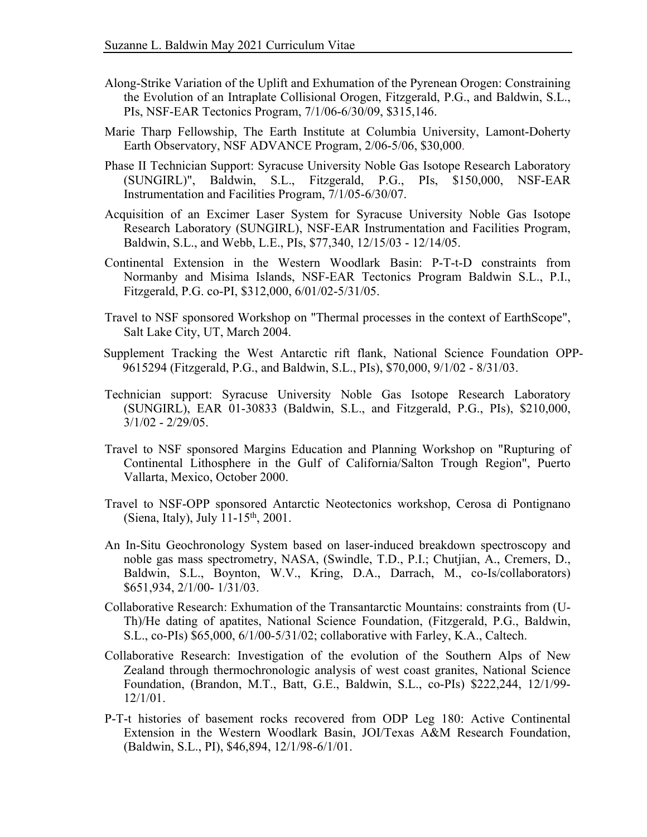- Along-Strike Variation of the Uplift and Exhumation of the Pyrenean Orogen: Constraining the Evolution of an Intraplate Collisional Orogen, Fitzgerald, P.G., and Baldwin, S.L., PIs, NSF-EAR Tectonics Program, 7/1/06-6/30/09, \$315,146.
- Marie Tharp Fellowship, The Earth Institute at Columbia University, Lamont-Doherty Earth Observatory, NSF ADVANCE Program, 2/06-5/06, \$30,000.
- Phase II Technician Support: Syracuse University Noble Gas Isotope Research Laboratory (SUNGIRL)", Baldwin, S.L., Fitzgerald, P.G., PIs, \$150,000, NSF-EAR Instrumentation and Facilities Program, 7/1/05-6/30/07.
- Acquisition of an Excimer Laser System for Syracuse University Noble Gas Isotope Baldwin, S.L., and Webb, L.E., PIs, \$77,340, 12/15/03 - 12/14/05. Research Laboratory (SUNGIRL), NSF-EAR Instrumentation and Facilities Program,
- Continental Extension in the Western Woodlark Basin: P-T-t-D constraints from Normanby and Misima Islands, NSF-EAR Tectonics Program Baldwin S.L., P.I., Fitzgerald, P.G. co-PI, \$312,000, 6/01/02-5/31/05.
- Travel to NSF sponsored Workshop on "Thermal processes in the context of EarthScope", Salt Lake City, UT, March 2004.
- Supplement Tracking the West Antarctic rift flank, National Science Foundation OPP-9615294 (Fitzgerald, P.G., and Baldwin, S.L., PIs), \$70,000, 9/1/02 - 8/31/03.
- Technician support: Syracuse University Noble Gas Isotope Research Laboratory 3/1/02 - 2/29/05. (SUNGIRL), EAR 01-30833 (Baldwin, S.L., and Fitzgerald, P.G., PIs), \$210,000,
- Travel to NSF sponsored Margins Education and Planning Workshop on "Rupturing of Continental Lithosphere in the Gulf of California/Salton Trough Region", Puerto Vallarta, Mexico, October 2000.
- Travel to NSF-OPP sponsored Antarctic Neotectonics workshop, Cerosa di Pontignano (Siena, Italy), July  $11-15<sup>th</sup>$ , 2001.
- noble gas mass spectrometry, NASA, (Swindle, T.D., P.I.; Chutjian, A., Cremers, D., \$651,934, 2/1/00- 1/31/03. An In-Situ Geochronology System based on laser-induced breakdown spectroscopy and Baldwin, S.L., Boynton, W.V., Kring, D.A., Darrach, M., co-Is/collaborators)
- Collaborative Research: Exhumation of the Transantarctic Mountains: constraints from (U- Th)/He dating of apatites, National Science Foundation, (Fitzgerald, P.G., Baldwin, S.L., co-PIs) \$65,000, 6/1/00-5/31/02; collaborative with Farley, K.A., Caltech.
- Collaborative Research: Investigation of the evolution of the Southern Alps of New Zealand through thermochronologic analysis of west coast granites, National Science Foundation, (Brandon, M.T., Batt, G.E., Baldwin, S.L., co-PIs) \$222,244, 12/1/99- 12/1/01.
- P-T-t histories of basement rocks recovered from ODP Leg 180: Active Continental Extension in the Western Woodlark Basin, JOI/Texas A&M Research Foundation, (Baldwin, S.L., PI), \$46,894, 12/1/98-6/1/01.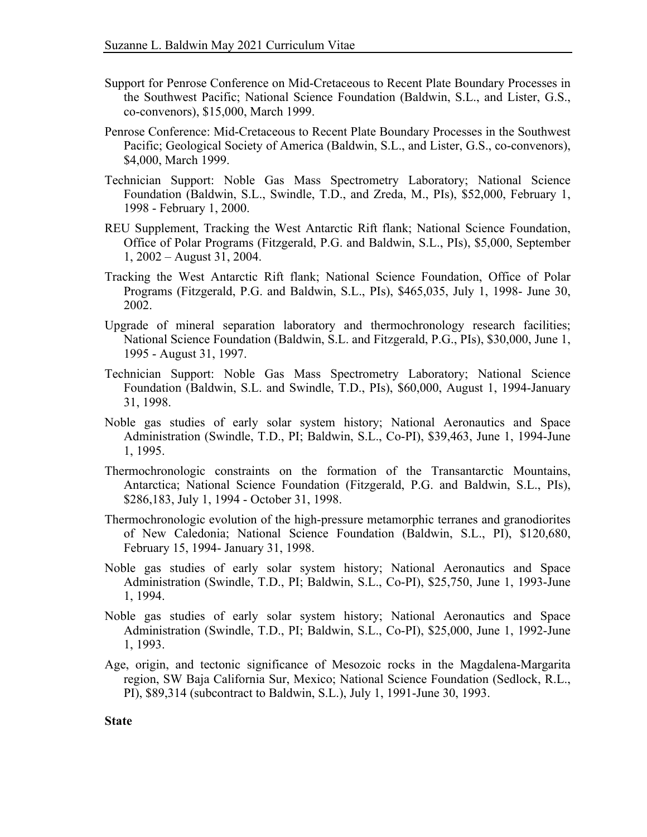- Support for Penrose Conference on Mid-Cretaceous to Recent Plate Boundary Processes in the Southwest Pacific; National Science Foundation (Baldwin, S.L., and Lister, G.S., co-convenors), \$15,000, March 1999.
- Penrose Conference: Mid-Cretaceous to Recent Plate Boundary Processes in the Southwest Pacific; Geological Society of America (Baldwin, S.L., and Lister, G.S., co-convenors), \$4,000, March 1999.
- Technician Support: Noble Gas Mass Spectrometry Laboratory; National Science Foundation (Baldwin, S.L., Swindle, T.D., and Zreda, M., PIs), \$52,000, February 1, 1998 - February 1, 2000.
- REU Supplement, Tracking the West Antarctic Rift flank; National Science Foundation, 1, 2002 – August 31, 2004. Office of Polar Programs (Fitzgerald, P.G. and Baldwin, S.L., PIs), \$5,000, September
- Tracking the West Antarctic Rift flank; National Science Foundation, Office of Polar Programs (Fitzgerald, P.G. and Baldwin, S.L., PIs), \$465,035, July 1, 1998- June 30, 2002.
- Upgrade of mineral separation laboratory and thermochronology research facilities; National Science Foundation (Baldwin, S.L. and Fitzgerald, P.G., PIs), \$30,000, June 1, 1995 - August 31, 1997.
- Technician Support: Noble Gas Mass Spectrometry Laboratory; National Science Foundation (Baldwin, S.L. and Swindle, T.D., PIs), \$60,000, August 1, 1994-January 31, 1998.
- Noble gas studies of early solar system history; National Aeronautics and Space Administration (Swindle, T.D., PI; Baldwin, S.L., Co-PI), \$39,463, June 1, 1994-June 1, 1995.
- Thermochronologic constraints on the formation of the Transantarctic Mountains, Antarctica; National Science Foundation (Fitzgerald, P.G. and Baldwin, S.L., PIs), \$286,183, July 1, 1994 - October 31, 1998.
- Thermochronologic evolution of the high-pressure metamorphic terranes and granodiorites of New Caledonia; National Science Foundation (Baldwin, S.L., PI), \$120,680, February 15, 1994- January 31, 1998.
- Noble gas studies of early solar system history; National Aeronautics and Space Administration (Swindle, T.D., PI; Baldwin, S.L., Co-PI), \$25,750, June 1, 1993-June 1, 1994.
- Noble gas studies of early solar system history; National Aeronautics and Space Administration (Swindle, T.D., PI; Baldwin, S.L., Co-PI), \$25,000, June 1, 1992-June 1, 1993.
- Age, origin, and tectonic significance of Mesozoic rocks in the Magdalena-Margarita region, SW Baja California Sur, Mexico; National Science Foundation (Sedlock, R.L., PI), \$89,314 (subcontract to Baldwin, S.L.), July 1, 1991-June 30, 1993.

**State**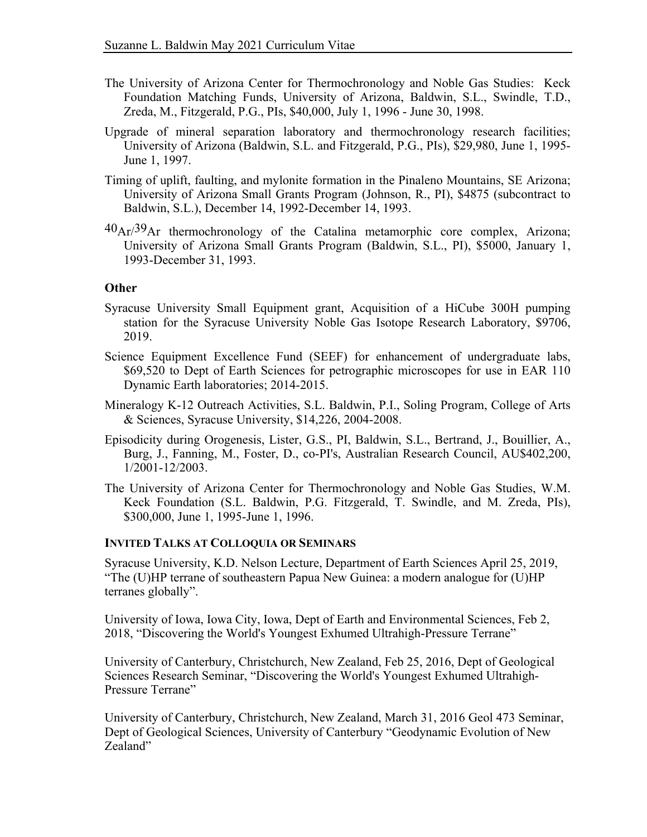- The University of Arizona Center for Thermochronology and Noble Gas Studies: Keck Zreda, M., Fitzgerald, P.G., PIs, \$40,000, July 1, 1996 - June 30, 1998. Foundation Matching Funds, University of Arizona, Baldwin, S.L., Swindle, T.D.,
- Upgrade of mineral separation laboratory and thermochronology research facilities; University of Arizona (Baldwin, S.L. and Fitzgerald, P.G., PIs), \$29,980, June 1, 1995- June 1, 1997.
- Timing of uplift, faulting, and mylonite formation in the Pinaleno Mountains, SE Arizona; University of Arizona Small Grants Program (Johnson, R., PI), \$4875 (subcontract to Baldwin, S.L.), December 14, 1992-December 14, 1993.
- $^{40}Ar^{39}Ar$  thermochronology of the Catalina metamorphic core complex, Arizona; University of Arizona Small Grants Program (Baldwin, S.L., PI), \$5000, January 1, 1993-December 31, 1993.

### **Other**

- Syracuse University Small Equipment grant, Acquisition of a HiCube 300H pumping station for the Syracuse University Noble Gas Isotope Research Laboratory, \$9706, 2019.
- Science Equipment Excellence Fund (SEEF) for enhancement of undergraduate labs, \$69,520 to Dept of Earth Sciences for petrographic microscopes for use in EAR 110 Dynamic Earth laboratories; 2014-2015.
- Mineralogy K-12 Outreach Activities, S.L. Baldwin, P.I., Soling Program, College of Arts & Sciences, Syracuse University, \$14,226, 2004-2008.
- Episodicity during Orogenesis, Lister, G.S., PI, Baldwin, S.L., Bertrand, J., Bouillier, A., Burg, J., Fanning, M., Foster, D., co-PI's, Australian Research Council, AU\$402,200, 1/2001-12/2003.
- The University of Arizona Center for Thermochronology and Noble Gas Studies, W.M. Keck Foundation (S.L. Baldwin, P.G. Fitzgerald, T. Swindle, and M. Zreda, PIs), \$300,000, June 1, 1995-June 1, 1996.

#### **INVITED TALKS AT COLLOQUIA OR SEMINARS**

Syracuse University, K.D. Nelson Lecture, Department of Earth Sciences April 25, 2019, "The (U)HP terrane of southeastern Papua New Guinea: a modern analogue for (U)HP terranes globally".

University of Iowa, Iowa City, Iowa, Dept of Earth and Environmental Sciences, Feb 2, 2018, "Discovering the World's Youngest Exhumed Ultrahigh-Pressure Terrane"

University of Canterbury, Christchurch, New Zealand, Feb 25, 2016, Dept of Geological Sciences Research Seminar, "Discovering the World's Youngest Exhumed Ultrahigh-Pressure Terrane"

University of Canterbury, Christchurch, New Zealand, March 31, 2016 Geol 473 Seminar, Dept of Geological Sciences, University of Canterbury "Geodynamic Evolution of New Zealand"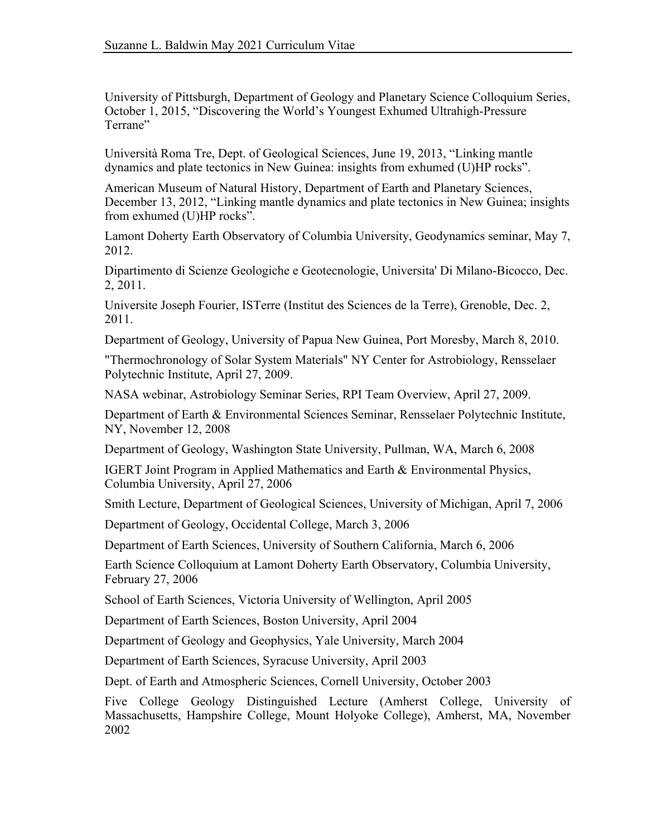University of Pittsburgh, Department of Geology and Planetary Science Colloquium Series, October 1, 2015, "Discovering the World's Youngest Exhumed Ultrahigh-Pressure Terrane"

 dynamics and plate tectonics in New Guinea: insights from exhumed (U)HP rocks". Università Roma Tre, Dept. of Geological Sciences, June 19, 2013, "Linking mantle

American Museum of Natural History, Department of Earth and Planetary Sciences, December 13, 2012, "Linking mantle dynamics and plate tectonics in New Guinea; insights from exhumed (U)HP rocks".

 Lamont Doherty Earth Observatory of Columbia University, Geodynamics seminar, May 7, 2012.

Dipartimento di Scienze Geologiche e Geotecnologie, Universita' Di Milano-Bicocco, Dec. 2, 2011.

Universite Joseph Fourier, ISTerre (Institut des Sciences de la Terre), Grenoble, Dec. 2, 2011.

Department of Geology, University of Papua New Guinea, Port Moresby, March 8, 2010.

 Polytechnic Institute, April 27, 2009. "Thermochronology of Solar System Materials" NY Center for Astrobiology, Rensselaer

NASA webinar, Astrobiology Seminar Series, RPI Team Overview, April 27, 2009.

Department of Earth & Environmental Sciences Seminar, Rensselaer Polytechnic Institute, NY, November 12, 2008

Department of Geology, Washington State University, Pullman, WA, March 6, 2008

IGERT Joint Program in Applied Mathematics and Earth & Environmental Physics, Columbia University, April 27, 2006

Smith Lecture, Department of Geological Sciences, University of Michigan, April 7, 2006

Department of Geology, Occidental College, March 3, 2006

Department of Earth Sciences, University of Southern California, March 6, 2006

Earth Science Colloquium at Lamont Doherty Earth Observatory, Columbia University, February 27, 2006

School of Earth Sciences, Victoria University of Wellington, April 2005

Department of Earth Sciences, Boston University, April 2004

Department of Geology and Geophysics, Yale University, March 2004

Department of Earth Sciences, Syracuse University, April 2003

Dept. of Earth and Atmospheric Sciences, Cornell University, October 2003

 Five College Geology Distinguished Lecture (Amherst College, University of Massachusetts, Hampshire College, Mount Holyoke College), Amherst, MA, November 2002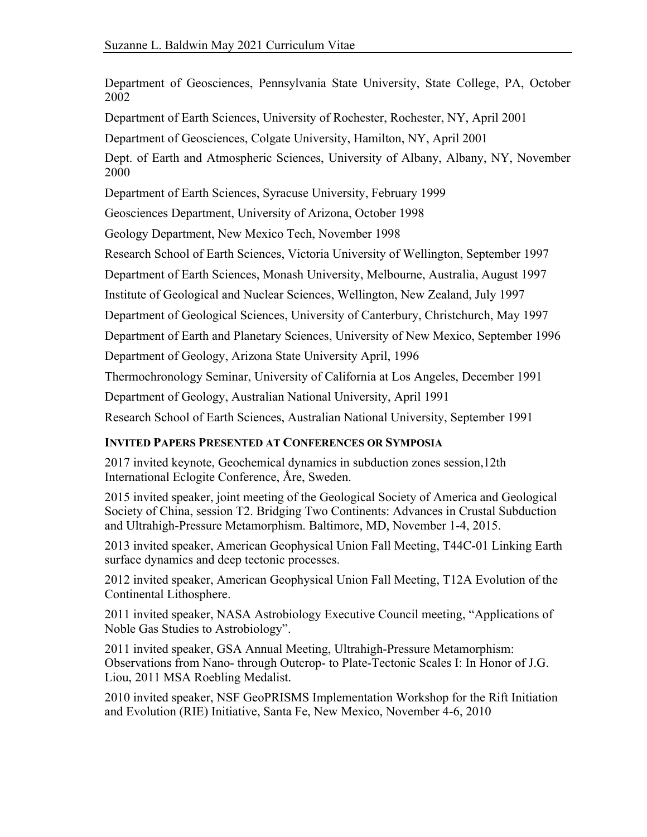Department of Geosciences, Pennsylvania State University, State College, PA, October 2002

Department of Earth Sciences, University of Rochester, Rochester, NY, April 2001

Department of Geosciences, Colgate University, Hamilton, NY, April 2001

Dept. of Earth and Atmospheric Sciences, University of Albany, Albany, NY, November 2000

Department of Earth Sciences, Syracuse University, February 1999

Geosciences Department, University of Arizona, October 1998

Geology Department, New Mexico Tech, November 1998

Research School of Earth Sciences, Victoria University of Wellington, September 1997

Department of Earth Sciences, Monash University, Melbourne, Australia, August 1997

Institute of Geological and Nuclear Sciences, Wellington, New Zealand, July 1997

Department of Geological Sciences, University of Canterbury, Christchurch, May 1997

Department of Earth and Planetary Sciences, University of New Mexico, September 1996

Department of Geology, Arizona State University April, 1996

Thermochronology Seminar, University of California at Los Angeles, December 1991

Department of Geology, Australian National University, April 1991

Research School of Earth Sciences, Australian National University, September 1991

# **INVITED PAPERS PRESENTED AT CONFERENCES OR SYMPOSIA**

2017 invited keynote, Geochemical dynamics in subduction zones session,12th International Eclogite Conference, Åre, Sweden.

2015 invited speaker, joint meeting of the Geological Society of America and Geological Society of China, session T2. Bridging Two Continents: Advances in Crustal Subduction and Ultrahigh-Pressure Metamorphism. Baltimore, MD, November 1-4, 2015.

2013 invited speaker, American Geophysical Union Fall Meeting, T44C-01 Linking Earth surface dynamics and deep tectonic processes.

2012 invited speaker, American Geophysical Union Fall Meeting, T12A Evolution of the Continental Lithosphere.

2011 invited speaker, NASA Astrobiology Executive Council meeting, "Applications of Noble Gas Studies to Astrobiology".

2011 invited speaker, GSA Annual Meeting, Ultrahigh-Pressure Metamorphism: Observations from Nano- through Outcrop- to Plate-Tectonic Scales I: In Honor of J.G. Liou, 2011 MSA Roebling Medalist.

 and Evolution (RIE) Initiative, Santa Fe, New Mexico, November 4-6, 2010 2010 invited speaker, NSF GeoPRISMS Implementation Workshop for the Rift Initiation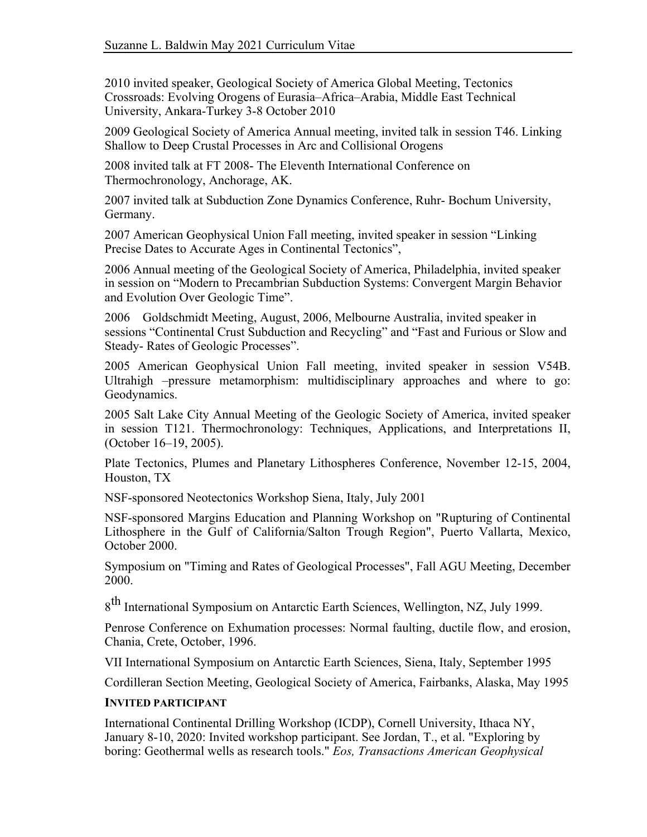2010 invited speaker, Geological Society of America Global Meeting, Tectonics Crossroads: Evolving Orogens of Eurasia–Africa–Arabia, Middle East Technical University, Ankara-Turkey 3-8 October 2010

2009 Geological Society of America Annual meeting, invited talk in session T46. Linking Shallow to Deep Crustal Processes in Arc and Collisional Orogens

2008 invited talk at FT 2008- The Eleventh International Conference on Thermochronology, Anchorage, AK.

 2007 invited talk at Subduction Zone Dynamics Conference, Ruhr- Bochum University, Germany.

2007 American Geophysical Union Fall meeting, invited speaker in session "Linking Precise Dates to Accurate Ages in Continental Tectonics",

2006 Annual meeting of the Geological Society of America, Philadelphia, invited speaker in session on "Modern to Precambrian Subduction Systems: Convergent Margin Behavior and Evolution Over Geologic Time".

2006 Goldschmidt Meeting, August, 2006, Melbourne Australia, invited speaker in sessions "Continental Crust Subduction and Recycling" and "Fast and Furious or Slow and Steady- Rates of Geologic Processes".

 Ultrahigh –pressure metamorphism: multidisciplinary approaches and where to go: 2005 American Geophysical Union Fall meeting, invited speaker in session V54B. Geodynamics.

 2005 Salt Lake City Annual Meeting of the Geologic Society of America, invited speaker in session T121. Thermochronology: Techniques, Applications, and Interpretations II, (October 16–19, 2005).

Plate Tectonics, Plumes and Planetary Lithospheres Conference, November 12-15, 2004, Houston, TX

NSF-sponsored Neotectonics Workshop Siena, Italy, July 2001

 Lithosphere in the Gulf of California/Salton Trough Region", Puerto Vallarta, Mexico, NSF-sponsored Margins Education and Planning Workshop on "Rupturing of Continental October 2000.

 Symposium on "Timing and Rates of Geological Processes", Fall AGU Meeting, December 2000.

8<sup>th</sup> International Symposium on Antarctic Earth Sciences, Wellington, NZ, July 1999.

 Penrose Conference on Exhumation processes: Normal faulting, ductile flow, and erosion, Chania, Crete, October, 1996.

VII International Symposium on Antarctic Earth Sciences, Siena, Italy, September 1995

Cordilleran Section Meeting, Geological Society of America, Fairbanks, Alaska, May 1995

### **INVITED PARTICIPANT**

International Continental Drilling Workshop (ICDP), Cornell University, Ithaca NY, January 8-10, 2020: Invited workshop participant. See Jordan, T., et al. "Exploring by boring: Geothermal wells as research tools." *Eos, Transactions American Geophysical*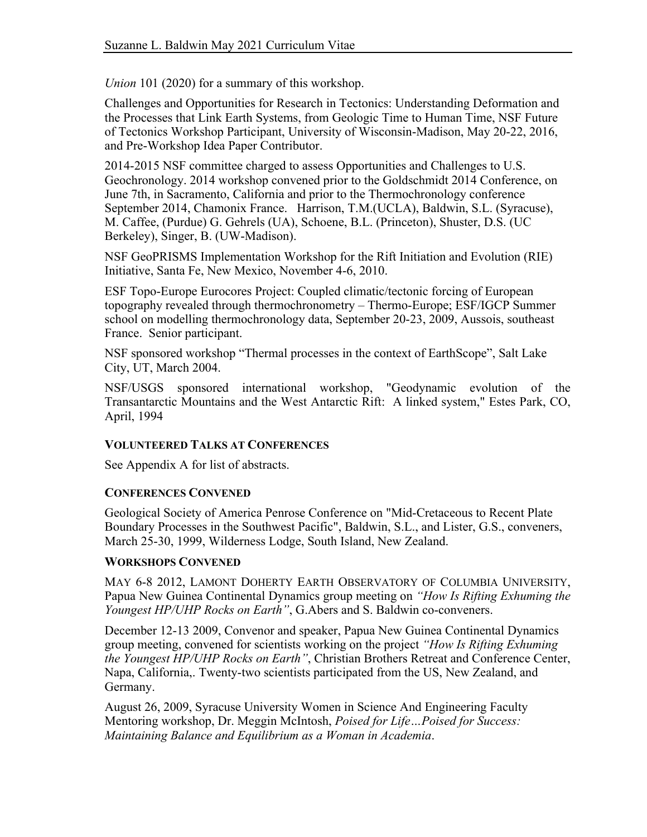*Union* 101 (2020) for a summary of this workshop.

Challenges and Opportunities for Research in Tectonics: Understanding Deformation and the Processes that Link Earth Systems, from Geologic Time to Human Time, NSF Future of Tectonics Workshop Participant, University of Wisconsin-Madison, May 20-22, 2016, and Pre-Workshop Idea Paper Contributor.

 Geochronology. 2014 workshop convened prior to the Goldschmidt 2014 Conference, on September 2014, Chamonix France. Harrison, T.M.(UCLA), Baldwin, S.L. (Syracuse), Berkeley), Singer, B. (UW-Madison). 2014-2015 NSF committee charged to assess Opportunities and Challenges to U.S. June 7th, in Sacramento, California and prior to the Thermochronology conference M. Caffee, (Purdue) G. Gehrels (UA), Schoene, B.L. (Princeton), Shuster, D.S. (UC

NSF GeoPRISMS Implementation Workshop for the Rift Initiation and Evolution (RIE) Initiative, Santa Fe, New Mexico, November 4-6, 2010.

ESF Topo-Europe Eurocores Project: Coupled climatic/tectonic forcing of European topography revealed through thermochronometry – Thermo-Europe; ESF/IGCP Summer school on modelling thermochronology data, September 20-23, 2009, Aussois, southeast France. Senior participant.

NSF sponsored workshop "Thermal processes in the context of EarthScope", Salt Lake City, UT, March 2004.

 Transantarctic Mountains and the West Antarctic Rift: A linked system," Estes Park, CO, NSF/USGS sponsored international workshop, "Geodynamic evolution of the April, 1994

# **VOLUNTEERED TALKS AT CONFERENCES**

See Appendix A for list of abstracts.

### **CONFERENCES CONVENED**

Geological Society of America Penrose Conference on "Mid-Cretaceous to Recent Plate Boundary Processes in the Southwest Pacific", Baldwin, S.L., and Lister, G.S., conveners, March 25-30, 1999, Wilderness Lodge, South Island, New Zealand.

### **WORKSHOPS CONVENED**

 MAY 6-8 2012, LAMONT DOHERTY EARTH OBSERVATORY OF COLUMBIA UNIVERSITY, Papua New Guinea Continental Dynamics group meeting on *"How Is Rifting Exhuming the Youngest HP/UHP Rocks on Earth"*, G.Abers and S. Baldwin co-conveners.

 group meeting, convened for scientists working on the project *"How Is Rifting Exhuming*  December 12-13 2009, Convenor and speaker, Papua New Guinea Continental Dynamics *the Youngest HP/UHP Rocks on Earth"*, Christian Brothers Retreat and Conference Center, Napa, California,. Twenty-two scientists participated from the US, New Zealand, and Germany.

August 26, 2009, Syracuse University Women in Science And Engineering Faculty Mentoring workshop, Dr. Meggin McIntosh, *Poised for Life…Poised for Success: Maintaining Balance and Equilibrium as a Woman in Academia*.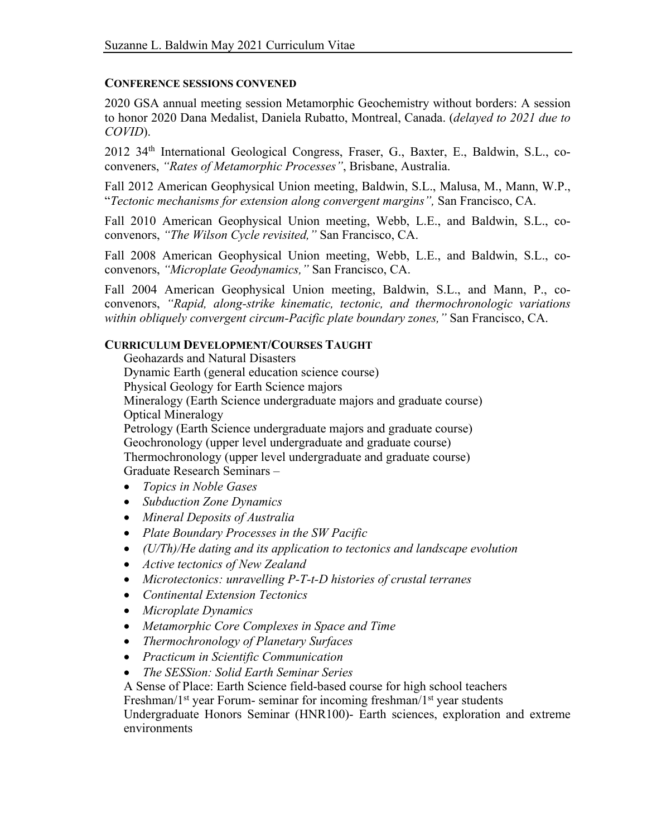#### **CONFERENCE SESSIONS CONVENED**

 2020 GSA annual meeting session Metamorphic Geochemistry without borders: A session  to honor 2020 Dana Medalist, Daniela Rubatto, Montreal, Canada. (*delayed to 2021 due to COVID*).

2012 34<sup>th</sup> International Geological Congress, Fraser, G., Baxter, E., Baldwin, S.L., coconveners, *"Rates of Metamorphic Processes"*, Brisbane, Australia.

Fall 2012 American Geophysical Union meeting, Baldwin, S.L., Malusa, M., Mann, W.P., "*Tectonic mechanisms for extension along convergent margins",* San Francisco, CA.

Fall 2010 American Geophysical Union meeting, Webb, L.E., and Baldwin, S.L., coconvenors, *"The Wilson Cycle revisited,"* San Francisco, CA.

Fall 2008 American Geophysical Union meeting, Webb, L.E., and Baldwin, S.L., coconvenors, *"Microplate Geodynamics,"* San Francisco, CA.

 convenors, *"Rapid, along-strike kinematic, tectonic, and thermochronologic variations*  Fall 2004 American Geophysical Union meeting, Baldwin, S.L., and Mann, P., co*within obliquely convergent circum-Pacific plate boundary zones,"* San Francisco, CA.

## **CURRICULUM DEVELOPMENT/COURSES TAUGHT**

 Mineralogy (Earth Science undergraduate majors and graduate course) Petrology (Earth Science undergraduate majors and graduate course) Geochronology (upper level undergraduate and graduate course) Geohazards and Natural Disasters Dynamic Earth (general education science course) Physical Geology for Earth Science majors Optical Mineralogy Thermochronology (upper level undergraduate and graduate course)

Graduate Research Seminars –

- *Topics in Noble Gases*
- *Subduction Zone Dynamics*
- *Mineral Deposits of Australia*
- *Plate Boundary Processes in the SW Pacific*
- *(U/Th)/He dating and its application to tectonics and landscape evolution*
- *Active tectonics of New Zealand*
- *Microtectonics: unravelling P-T-t-D histories of crustal terranes*
- *Continental Extension Tectonics*
- *Microplate Dynamics*
- *Metamorphic Core Complexes in Space and Time*
- *Thermochronology of Planetary Surfaces*
- *Practicum in Scientific Communication*
- *The SESSion: Solid Earth Seminar Series*

A Sense of Place: Earth Science field-based course for high school teachers

Freshman/1<sup>st</sup> year Forum- seminar for incoming freshman/1<sup>st</sup> year students

 Undergraduate Honors Seminar (HNR100)- Earth sciences, exploration and extreme environments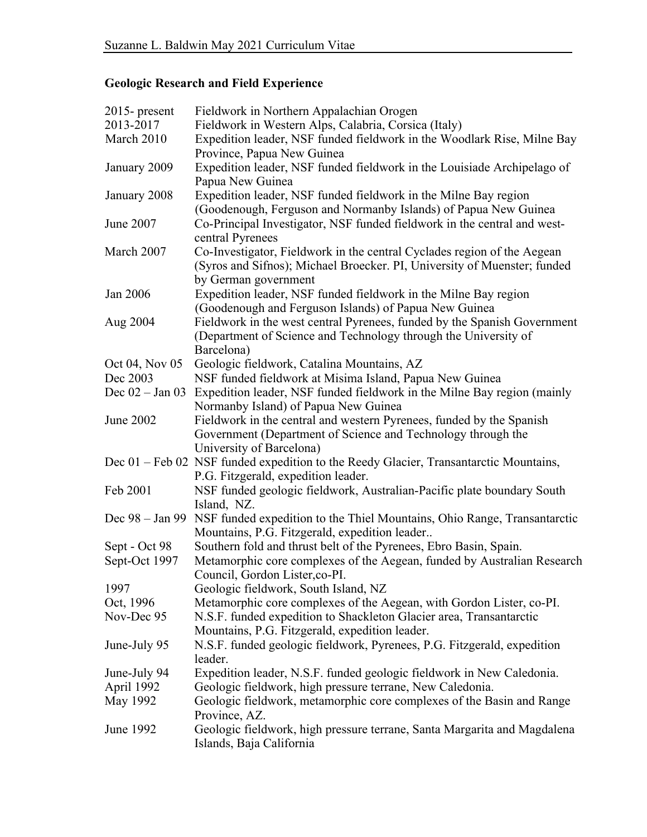# **Geologic Research and Field Experience**

| $2015$ - present  | Fieldwork in Northern Appalachian Orogen                                                                                 |  |  |  |  |
|-------------------|--------------------------------------------------------------------------------------------------------------------------|--|--|--|--|
| 2013-2017         | Fieldwork in Western Alps, Calabria, Corsica (Italy)                                                                     |  |  |  |  |
| March 2010        | Expedition leader, NSF funded fieldwork in the Woodlark Rise, Milne Bay                                                  |  |  |  |  |
|                   | Province, Papua New Guinea                                                                                               |  |  |  |  |
| January 2009      | Expedition leader, NSF funded fieldwork in the Louisiade Archipelago of<br>Papua New Guinea                              |  |  |  |  |
| January 2008      | Expedition leader, NSF funded fieldwork in the Milne Bay region                                                          |  |  |  |  |
|                   | (Goodenough, Ferguson and Normanby Islands) of Papua New Guinea                                                          |  |  |  |  |
| June 2007         | Co-Principal Investigator, NSF funded fieldwork in the central and west-<br>central Pyrenees                             |  |  |  |  |
| March 2007        | Co-Investigator, Fieldwork in the central Cyclades region of the Aegean                                                  |  |  |  |  |
|                   | (Syros and Sifnos); Michael Broecker. PI, University of Muenster; funded                                                 |  |  |  |  |
|                   | by German government                                                                                                     |  |  |  |  |
| Jan 2006          | Expedition leader, NSF funded fieldwork in the Milne Bay region<br>(Goodenough and Ferguson Islands) of Papua New Guinea |  |  |  |  |
| Aug 2004          | Fieldwork in the west central Pyrenees, funded by the Spanish Government                                                 |  |  |  |  |
|                   | (Department of Science and Technology through the University of                                                          |  |  |  |  |
|                   | Barcelona)                                                                                                               |  |  |  |  |
| Oct 04, Nov 05    | Geologic fieldwork, Catalina Mountains, AZ                                                                               |  |  |  |  |
| Dec 2003          | NSF funded fieldwork at Misima Island, Papua New Guinea                                                                  |  |  |  |  |
| Dec $02 - Jan 03$ | Expedition leader, NSF funded fieldwork in the Milne Bay region (mainly                                                  |  |  |  |  |
|                   | Normanby Island) of Papua New Guinea                                                                                     |  |  |  |  |
| June 2002         | Fieldwork in the central and western Pyrenees, funded by the Spanish                                                     |  |  |  |  |
|                   | Government (Department of Science and Technology through the                                                             |  |  |  |  |
|                   | University of Barcelona)                                                                                                 |  |  |  |  |
|                   | Dec 01 – Feb 02 NSF funded expedition to the Reedy Glacier, Transantarctic Mountains,                                    |  |  |  |  |
|                   | P.G. Fitzgerald, expedition leader.                                                                                      |  |  |  |  |
| Feb 2001          | NSF funded geologic fieldwork, Australian-Pacific plate boundary South                                                   |  |  |  |  |
|                   | Island, NZ.                                                                                                              |  |  |  |  |
| Dec 98 – Jan 99   | NSF funded expedition to the Thiel Mountains, Ohio Range, Transantarctic                                                 |  |  |  |  |
|                   | Mountains, P.G. Fitzgerald, expedition leader                                                                            |  |  |  |  |
| Sept - Oct 98     | Southern fold and thrust belt of the Pyrenees, Ebro Basin, Spain.                                                        |  |  |  |  |
| Sept-Oct 1997     | Metamorphic core complexes of the Aegean, funded by Australian Research                                                  |  |  |  |  |
|                   | Council, Gordon Lister, co-PI.                                                                                           |  |  |  |  |
| 1997              | Geologic fieldwork, South Island, NZ                                                                                     |  |  |  |  |
| Oct, 1996         | Metamorphic core complexes of the Aegean, with Gordon Lister, co-PI.                                                     |  |  |  |  |
| Nov-Dec 95        | N.S.F. funded expedition to Shackleton Glacier area, Transantarctic                                                      |  |  |  |  |
|                   | Mountains, P.G. Fitzgerald, expedition leader.                                                                           |  |  |  |  |
| June-July 95      | N.S.F. funded geologic fieldwork, Pyrenees, P.G. Fitzgerald, expedition                                                  |  |  |  |  |
|                   | leader.                                                                                                                  |  |  |  |  |
| June-July 94      | Expedition leader, N.S.F. funded geologic fieldwork in New Caledonia.                                                    |  |  |  |  |
| April 1992        | Geologic fieldwork, high pressure terrane, New Caledonia.                                                                |  |  |  |  |
| May 1992          | Geologic fieldwork, metamorphic core complexes of the Basin and Range<br>Province, AZ.                                   |  |  |  |  |
| June 1992         | Geologic fieldwork, high pressure terrane, Santa Margarita and Magdalena                                                 |  |  |  |  |
|                   | Islands, Baja California                                                                                                 |  |  |  |  |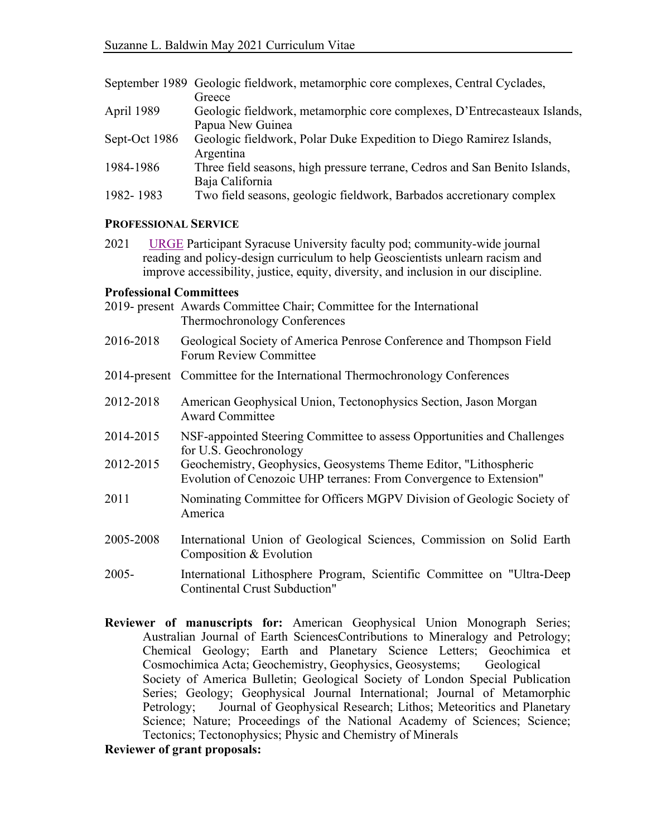|               | September 1989 Geologic fieldwork, metamorphic core complexes, Central Cyclades, |
|---------------|----------------------------------------------------------------------------------|
|               | Greece                                                                           |
| April 1989    | Geologic fieldwork, metamorphic core complexes, D'Entrecasteaux Islands,         |
|               | Papua New Guinea                                                                 |
| Sept-Oct 1986 | Geologic fieldwork, Polar Duke Expedition to Diego Ramirez Islands,              |
|               | Argentina                                                                        |
| 1984-1986     | Three field seasons, high pressure terrane, Cedros and San Benito Islands,       |
|               | Baja California                                                                  |
| 1982-1983     | Two field seasons, geologic fieldwork, Barbados accretionary complex             |

### **PROFESSIONAL SERVICE**

2021 URGE Participant Syracuse University faculty pod; community-wide journal reading and policy-design curriculum to help Geoscientists unlearn racism and improve accessibility, justice, equity, diversity, and inclusion in our discipline.

#### **Professional Committees**

| 2019- present Awards Committee Chair; Committee for the International |
|-----------------------------------------------------------------------|
| Thermochronology Conferences                                          |

- Forum Review Committee 2016-2018 Geological Society of America Penrose Conference and Thompson Field
- 2014-present Committee for the International Thermochronology Conferences
- 2012-2018 American Geophysical Union, Tectonophysics Section, Jason Morgan Award Committee
- 2014-2015 NSF-appointed Steering Committee to assess Opportunities and Challenges for U.S. Geochronology
- 2012-2015 Evolution of Cenozoic UHP terranes: From Convergence to Extension" Geochemistry, Geophysics, Geosystems Theme Editor, "Lithospheric
- 2011 Nominating Committee for Officers MGPV Division of Geologic Society of America
- Composition & Evolution 2005-2008 International Union of Geological Sciences, Commission on Solid Earth
- 2005- International Lithosphere Program, Scientific Committee on "Ultra-Deep Continental Crust Subduction"
- **Reviewer of manuscripts for:** American Geophysical Union Monograph Series; Australian Journal of Earth SciencesContributions to Mineralogy and Petrology; Chemical Geology; Earth and Planetary Science Letters; Geochimica et Society of America Bulletin; Geological Society of London Special Publication Series; Geology; Geophysical Journal International; Journal of Metamorphic Science; Nature; Proceedings of the National Academy of Sciences; Science; Cosmochimica Acta; Geochemistry, Geophysics, Geosystems; Geological Petrology; Journal of Geophysical Research; Lithos; Meteoritics and Planetary Tectonics; Tectonophysics; Physic and Chemistry of Minerals

#### **Reviewer of grant proposals:**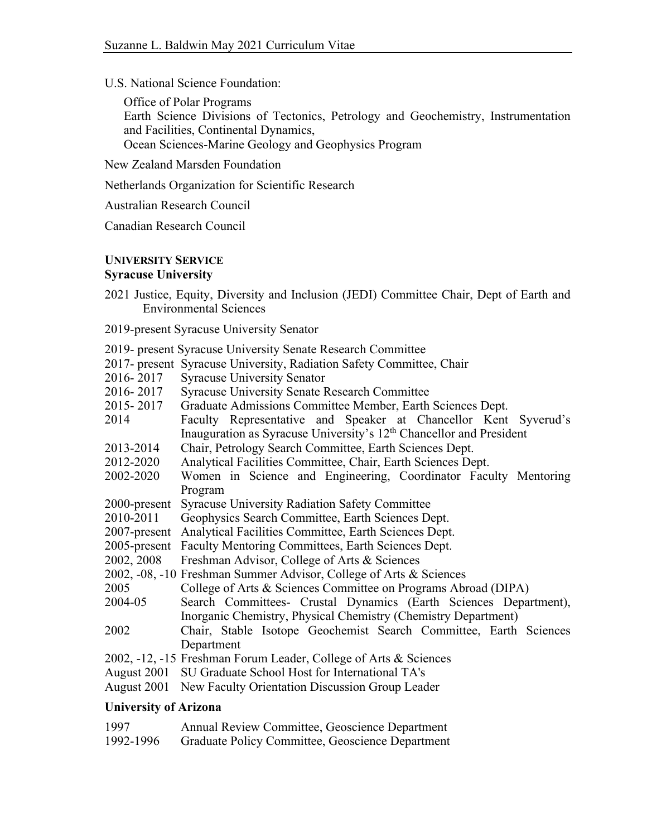U.S. National Science Foundation:

 Earth Science Divisions of Tectonics, Petrology and Geochemistry, Instrumentation and Facilities, Continental Dynamics, Office of Polar Programs Ocean Sciences-Marine Geology and Geophysics Program

New Zealand Marsden Foundation

Netherlands Organization for Scientific Research

Australian Research Council

Canadian Research Council

# **UNIVERSITY SERVICE**

#### **Syracuse University**

- 2021 Justice, Equity, Diversity and Inclusion (JEDI) Committee Chair, Dept of Earth and Environmental Sciences
- 2019-present Syracuse University Senator
- 2019- present Syracuse University Senate Research Committee
- 2017- present Syracuse University, Radiation Safety Committee, Chair
- 2016-2017 Syracuse University Senator
- 2016-2017 Syracuse University Senate Research Committee
- 2015-2017 Graduate Admissions Committee Member, Earth Sciences Dept.
- 2014 Faculty Representative and Speaker at Chancellor Kent Syverud's Inauguration as Syracuse University's 12<sup>th</sup> Chancellor and President 2013-2014 Chair, Petrology Search Committee, Earth Sciences Dept.
- 
- 2012-2020 Analytical Facilities Committee, Chair, Earth Sciences Dept.
- 2002-2020 Women in Science and Engineering, Coordinator Faculty Mentoring Program
- 2000-present Syracuse University Radiation Safety Committee
- 2010-2011 Geophysics Search Committee, Earth Sciences Dept.
- 2007-present Analytical Facilities Committee, Earth Sciences Dept.
- 2005-present Faculty Mentoring Committees, Earth Sciences Dept.
- 2002, 2008 Freshman Advisor, College of Arts & Sciences
- 2002, -08, -10 Freshman Summer Advisor, College of Arts & Sciences
- 2005 College of Arts & Sciences Committee on Programs Abroad (DIPA)
- 2004-05 Search Committees- Crustal Dynamics (Earth Sciences Department),
- Inorganic Chemistry, Physical Chemistry (Chemistry Department)
- 2002 Chair, Stable Isotope Geochemist Search Committee, Earth Sciences Department
- 2002, -12, -15 Freshman Forum Leader, College of Arts & Sciences
- August 2001 SU Graduate School Host for International TA's
- August 2001 New Faculty Orientation Discussion Group Leader

### **University of Arizona**

| 1997 |  |  | Annual Review Committee, Geoscience Department |
|------|--|--|------------------------------------------------|
|      |  |  |                                                |

1992-1996 Graduate Policy Committee, Geoscience Department